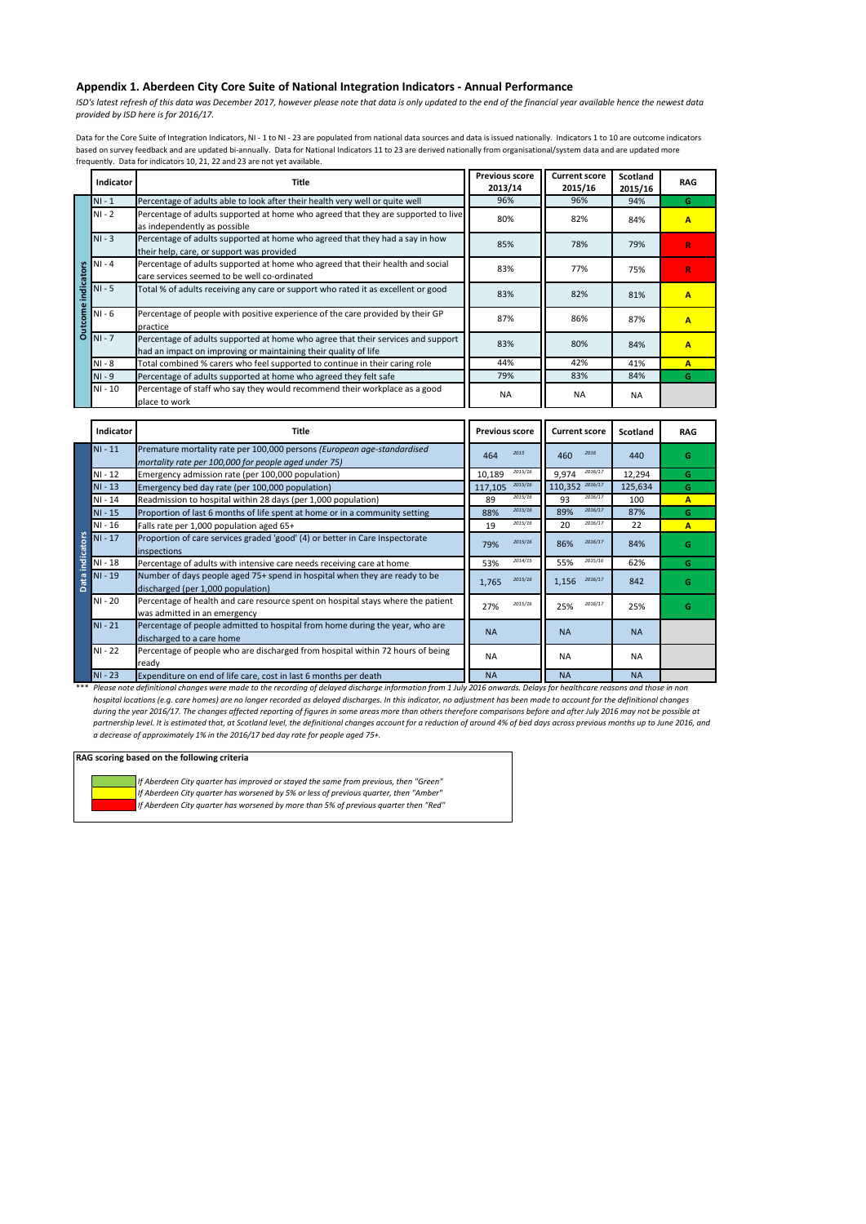## **Appendix 1. Aberdeen City Core Suite of National Integration Indicators - Annual Performance**

*ISD's latest refresh of this data was December 2017, however please note that data is only updated to the end of the financial year available hence the newest data provided by ISD here is for 2016/17.* 

Data for the Core Suite of Integration Indicators, NI - 1 to NI - 23 are populated from national data sources and data is issued nationally. Indicators 1 to 10 are outcome indicators based on survey feedback and are updated bi-annually. Data for National Indicators 11 to 23 are derived nationally from organisational/system data and are updated more frequently. Data for indicators 10, 21, 22 and 23 are not yet available.

|                | <b>Indicator</b> | Title                                                                                                                                               | <b>Previous score</b><br>2013/14 | <b>Current score</b><br>2015/16 | <b>Scotland</b><br>2015/16 | <b>RAG</b> |
|----------------|------------------|-----------------------------------------------------------------------------------------------------------------------------------------------------|----------------------------------|---------------------------------|----------------------------|------------|
|                | $NI - 1$         | Percentage of adults able to look after their health very well or quite well                                                                        | 96%                              | 96%                             | 94%                        | G          |
|                | $NI - 2$         | Percentage of adults supported at home who agreed that they are supported to live<br>as independently as possible                                   | 80%                              | 82%                             | 84%                        | Α          |
|                | $NI - 3$         | Percentage of adults supported at home who agreed that they had a say in how<br>their help, care, or support was provided                           | 85%                              | 78%                             | 79%                        | R          |
|                | $NI - 4$         | Percentage of adults supported at home who agreed that their health and social<br>care services seemed to be well co-ordinated                      | 83%                              | 77%                             | 75%                        | R          |
| ndicator       | $NI - 5$         | Total % of adults receiving any care or support who rated it as excellent or good                                                                   | 83%                              | 82%                             | 81%                        | Α          |
| <b>Outcome</b> | $NI - 6$         | Percentage of people with positive experience of the care provided by their GP<br>practice                                                          | 87%                              | 86%                             | 87%                        | Α          |
|                | $NI - 7$         | Percentage of adults supported at home who agree that their services and support<br>had an impact on improving or maintaining their quality of life | 83%                              | 80%                             | 84%                        | Α          |
|                | $NI - 8$         | Total combined % carers who feel supported to continue in their caring role                                                                         | 44%                              | 42%                             | 41%                        | A          |
|                | $NI - 9$         | Percentage of adults supported at home who agreed they felt safe                                                                                    | 79%                              | 83%                             | 84%                        | G          |
|                | $NI - 10$        | Percentage of staff who say they would recommend their workplace as a good<br>place to work                                                         | <b>NA</b>                        | <b>NA</b>                       | <b>NA</b>                  |            |

|                      | Indicator | Title                                                                                                                           | <b>Previous score</b> | <b>Current score</b> | <b>Scotland</b> | <b>RAG</b> |
|----------------------|-----------|---------------------------------------------------------------------------------------------------------------------------------|-----------------------|----------------------|-----------------|------------|
| ndicators<br>Data ir | $NI - 11$ | Premature mortality rate per 100,000 persons (European age-standardised<br>mortality rate per 100,000 for people aged under 75) | 2015<br>464           | 2016<br>460          | 440             | G          |
|                      | $NI - 12$ | Emergency admission rate (per 100,000 population)                                                                               | 2015/16<br>10,189     | 2016/17<br>9,974     | 12,294          | G          |
|                      | $NI - 13$ | Emergency bed day rate (per 100,000 population)                                                                                 | 2015/16<br>117,105    | 110,352 2016/17      | 125,634         | G          |
|                      | NI - 14   | Readmission to hospital within 28 days (per 1,000 population)                                                                   | 2015/16<br>89         | 2016/17<br>93        | 100             | A          |
|                      | $NI - 15$ | Proportion of last 6 months of life spent at home or in a community setting                                                     | 2015/16<br>88%        | 2016/17<br>89%       | 87%             | G          |
|                      | NI - 16   | Falls rate per 1,000 population aged 65+                                                                                        | 2015/16<br>19         | 2016/17<br>20        | 22              | A          |
|                      | $NI - 17$ | Proportion of care services graded 'good' (4) or better in Care Inspectorate<br>inspections                                     | 2015/16<br>79%        | 2016/17<br>86%       | 84%             | G          |
|                      | NI - 18   | Percentage of adults with intensive care needs receiving care at home                                                           | 2014/15<br>53%        | 2015/16<br>55%       | 62%             | G          |
|                      | NI - 19   | Number of days people aged 75+ spend in hospital when they are ready to be<br>discharged (per 1,000 population)                 | 2015/16<br>1,765      | 2016/17<br>1,156     | 842             | G          |
|                      | NI - 20   | Percentage of health and care resource spent on hospital stays where the patient<br>was admitted in an emergency                | 2015/16<br>27%        | 2016/17<br>25%       | 25%             | G          |
|                      | $NI - 21$ | Percentage of people admitted to hospital from home during the year, who are<br>discharged to a care home                       | <b>NA</b>             | <b>NA</b>            | <b>NA</b>       |            |
|                      | $NI - 22$ | Percentage of people who are discharged from hospital within 72 hours of being<br>ready                                         | <b>NA</b>             | <b>NA</b>            | <b>NA</b>       |            |
|                      | $NI - 23$ | Expenditure on end of life care, cost in last 6 months per death                                                                | <b>NA</b>             | <b>NA</b>            | <b>NA</b>       |            |

\*\*\* *Please note definitional changes were made to the recording of delayed discharge information from 1 July 2016 onwards. Delays for healthcare reasons and those in non hospital locations (e.g. care homes) are no longer recorded as delayed discharges. In this indicator, no adjustment has been made to account for the definitional changes during the year 2016/17. The changes affected reporting of figures in some areas more than others therefore comparisons before and after July 2016 may not be possible at partnership level. It is estimated that, at Scotland level, the definitional changes account for a reduction of around 4% of bed days across previous months up to June 2016, and a decrease of approximately 1% in the 2016/17 bed day rate for people aged 75+.* 

## **RAG scoring based on the following criteria**

*If Aberdeen City quarter has improved or stayed the same from previous, then "Green" If Aberdeen City quarter has worsened by 5% or less of previous quarter, then "Amber" If Aberdeen City quarter has worsened by more than 5% of previous quarter then "Red"*